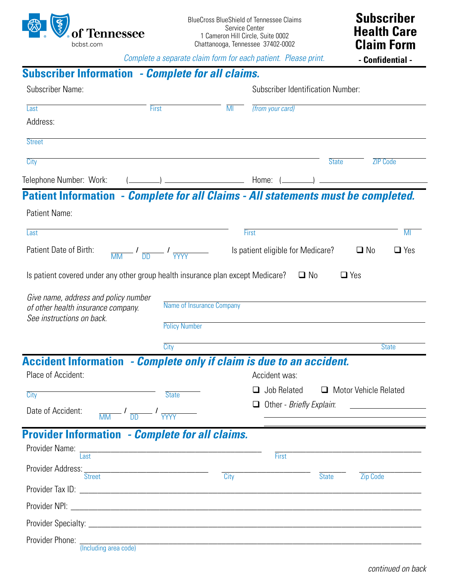

(Including area code)

*Complete a separate claim form for each patient. Please print.*

|                                                                                                         |                                                                     |                          | Complete a separate claim form for each patient. Please print. | - Confidential -           |
|---------------------------------------------------------------------------------------------------------|---------------------------------------------------------------------|--------------------------|----------------------------------------------------------------|----------------------------|
| <b>Subscriber Information - Complete for all claims.</b>                                                |                                                                     |                          |                                                                |                            |
| Subscriber Name:                                                                                        |                                                                     |                          | <b>Subscriber Identification Number:</b>                       |                            |
| Last                                                                                                    | <b>First</b>                                                        | MI                       | (from your card)                                               |                            |
| Address:                                                                                                |                                                                     |                          |                                                                |                            |
| <b>Street</b>                                                                                           |                                                                     |                          |                                                                |                            |
| City                                                                                                    |                                                                     |                          | <b>State</b>                                                   | <b>ZIP Code</b>            |
|                                                                                                         |                                                                     |                          |                                                                |                            |
| Patient Information - Complete for all Claims - All statements must be completed.                       |                                                                     |                          |                                                                |                            |
| Patient Name:                                                                                           |                                                                     |                          |                                                                |                            |
| Last                                                                                                    |                                                                     |                          | First                                                          | $\overline{\mathsf{M}}$    |
| Patient Date of Birth:                                                                                  | $\frac{1}{\text{MM}}$ $\frac{1}{\text{DD}}$ $\frac{1}{\text{YYYY}}$ |                          | Is patient eligible for Medicare?                              | $\Box$ Yes<br>$\square$ No |
| Give name, address and policy number<br>of other health insurance company.<br>See instructions on back. | Name of Insurance Company<br><b>Policy Number</b>                   |                          |                                                                |                            |
|                                                                                                         | City                                                                |                          |                                                                | <b>State</b>               |
| <b>Accident Information - Complete only if claim is due to an accident.</b>                             |                                                                     |                          |                                                                |                            |
| Place of Accident:                                                                                      |                                                                     |                          | Accident was:                                                  |                            |
| City                                                                                                    | <b>State</b>                                                        |                          | $\Box$ Job Related $\Box$ Motor Vehicle Related                |                            |
| Date of Accident:<br>$\frac{1}{\sqrt{MN}}$ $\frac{1}{\sqrt{MN}}$ $\frac{1}{\sqrt{MYY}}$                 |                                                                     | Other - Briefly Explain: |                                                                |                            |
| <b>Provider Information - Complete for all claims.</b>                                                  |                                                                     |                          |                                                                |                            |
| Provider Name:                                                                                          |                                                                     |                          |                                                                |                            |
| Last                                                                                                    |                                                                     |                          | First                                                          |                            |
| Provider Address: Street                                                                                |                                                                     | City                     | <b>State</b>                                                   | <b>Zip Code</b>            |
|                                                                                                         |                                                                     |                          |                                                                |                            |
|                                                                                                         |                                                                     |                          |                                                                |                            |
|                                                                                                         |                                                                     |                          |                                                                |                            |
|                                                                                                         |                                                                     |                          |                                                                |                            |